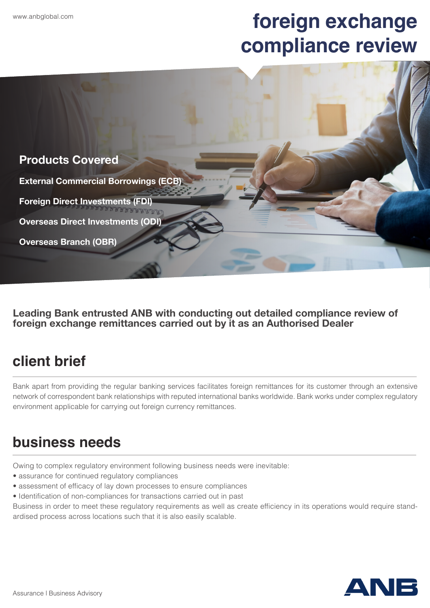## **foreign exchange compliance review**



**Leading Bank entrusted ANB with conducting out detailed compliance review of foreign exchange remittances carried out by it as an Authorised Dealer**

### **client brief**

Bank apart from providing the regular banking services facilitates foreign remittances for its customer through an extensive network of correspondent bank relationships with reputed international banks worldwide. Bank works under complex regulatory environment applicable for carrying out foreign currency remittances.

### **business needs**

Owing to complex regulatory environment following business needs were inevitable:

- assurance for continued regulatory compliances
- assessment of efficacy of lay down processes to ensure compliances
- Identification of non-compliances for transactions carried out in past

Business in order to meet these regulatory requirements as well as create efficiency in its operations would require standardised process across locations such that it is also easily scalable.